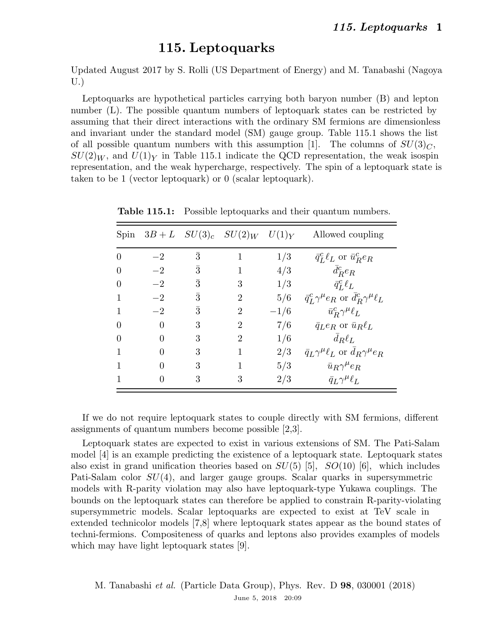## 115. Leptoquarks

Updated August 2017 by S. Rolli (US Department of Energy) and M. Tanabashi (Nagoya U.)

Leptoquarks are hypothetical particles carrying both baryon number (B) and lepton number (L). The possible quantum numbers of leptoquark states can be restricted by assuming that their direct interactions with the ordinary SM fermions are dimensionless and invariant under the standard model (SM) gauge group. Table 115.1 shows the list of all possible quantum numbers with this assumption [1]. The columns of  $SU(3)<sub>C</sub>$ ,  $SU(2)_W$ , and  $U(1)_Y$  in Table 115.1 indicate the QCD representation, the weak isospin representation, and the weak hypercharge, respectively. The spin of a leptoquark state is taken to be 1 (vector leptoquark) or 0 (scalar leptoquark).

| Spin |          |           | $3B + L$ $SU(3)_c$ $SU(2)_W$ $U(1)_Y$ |        | Allowed coupling                                          |
|------|----------|-----------|---------------------------------------|--------|-----------------------------------------------------------|
|      | $-2$     | 3         |                                       | 1/3    | $\bar{q}_L^c \ell_L$ or $\bar{u}_R^c e_R$                 |
|      | $-2$     | 3         |                                       | 4/3    | $\bar{d}_R^c e_R$                                         |
|      | $-2$     | $\bar{3}$ | 3                                     | 1/3    | $\bar{q}_{L}^{c} \ell_{L}$                                |
|      | $-2$     | $\bar{3}$ | $\overline{2}$                        | 5/6    | $\bar{q}_L^c \gamma^\mu e_R$ or $d_R^c \gamma^\mu \ell_L$ |
|      | $-2$     | 3         | $\overline{2}$                        | $-1/6$ | $\bar{u}_R^c \gamma^\mu \ell_L$                           |
|      | $\Omega$ | 3         | $\overline{2}$                        | 7/6    | $\bar{q}_L e_R$ or $\bar{u}_R \ell_L$                     |
|      | 0        | 3         | 2                                     | 1/6    | $d_R\ell_L$                                               |
|      | 0        | 3         |                                       | 2/3    | $\bar{q}_L \gamma^{\mu} \ell_L$ or $d_R \gamma^{\mu} e_R$ |
|      | 0        | 3         |                                       | 5/3    | $\bar{u}_R \gamma^\mu e_R$                                |
|      | O        | 3         | 3                                     | 2/3    | $\bar{q}_L \gamma^\mu \ell_L$                             |

Table 115.1: Possible leptoquarks and their quantum numbers.

If we do not require leptoquark states to couple directly with SM fermions, different assignments of quantum numbers become possible [2,3].

Leptoquark states are expected to exist in various extensions of SM. The Pati-Salam model [4] is an example predicting the existence of a leptoquark state. Leptoquark states also exist in grand unification theories based on  $SU(5)$  [5],  $SO(10)$  [6], which includes Pati-Salam color  $SU(4)$ , and larger gauge groups. Scalar quarks in supersymmetric models with R-parity violation may also have leptoquark-type Yukawa couplings. The bounds on the leptoquark states can therefore be applied to constrain R-parity-violating supersymmetric models. Scalar leptoquarks are expected to exist at TeV scale in extended technicolor models [7,8] where leptoquark states appear as the bound states of techni-fermions. Compositeness of quarks and leptons also provides examples of models which may have light leptoquark states [9].

M. Tanabashi et al. (Particle Data Group), Phys. Rev. D 98, 030001 (2018) June 5, 2018 20:09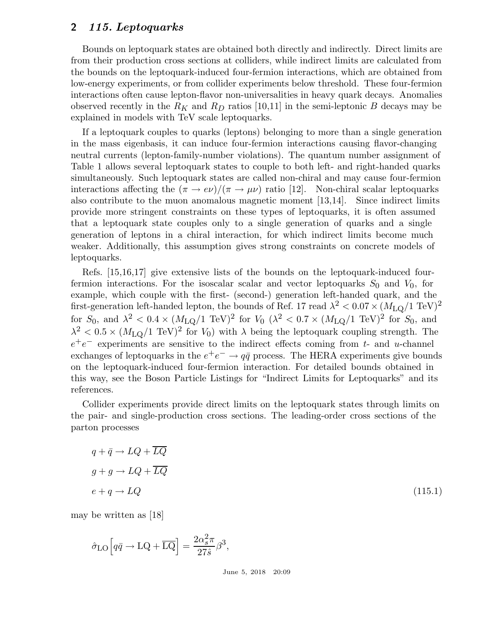#### 2 115. Leptoquarks

Bounds on leptoquark states are obtained both directly and indirectly. Direct limits are from their production cross sections at colliders, while indirect limits are calculated from the bounds on the leptoquark-induced four-fermion interactions, which are obtained from low-energy experiments, or from collider experiments below threshold. These four-fermion interactions often cause lepton-flavor non-universalities in heavy quark decays. Anomalies observed recently in the  $R_K$  and  $R_D$  ratios [10,11] in the semi-leptonic B decays may be explained in models with TeV scale leptoquarks.

If a leptoquark couples to quarks (leptons) belonging to more than a single generation in the mass eigenbasis, it can induce four-fermion interactions causing flavor-changing neutral currents (lepton-family-number violations). The quantum number assignment of Table 1 allows several leptoquark states to couple to both left- and right-handed quarks simultaneously. Such leptoquark states are called non-chiral and may cause four-fermion interactions affecting the  $(\pi \to e\nu)/(\pi \to \mu\nu)$  ratio [12]. Non-chiral scalar leptoquarks also contribute to the muon anomalous magnetic moment [13,14]. Since indirect limits provide more stringent constraints on these types of leptoquarks, it is often assumed that a leptoquark state couples only to a single generation of quarks and a single generation of leptons in a chiral interaction, for which indirect limits become much weaker. Additionally, this assumption gives strong constraints on concrete models of leptoquarks.

Refs. [15,16,17] give extensive lists of the bounds on the leptoquark-induced fourfermion interactions. For the isoscalar scalar and vector leptoquarks  $S_0$  and  $V_0$ , for example, which couple with the first- (second-) generation left-handed quark, and the first-generation left-handed lepton, the bounds of Ref. 17 read  $\lambda^2 < 0.07 \times (M_{\rm LQ}/1~\rm TeV)^2$ for  $S_0$ , and  $\lambda^2 < 0.4 \times (M_{\text{LQ}}/1 \text{ TeV})^2$  for  $V_0$   $(\lambda^2 < 0.7 \times (M_{\text{LQ}}/1 \text{ TeV})^2$  for  $S_0$ , and  $\lambda^2$  < 0.5 ×  $(M_{\text{LQ}}/1 \text{ TeV})^2$  for  $V_0$ ) with  $\lambda$  being the leptoquark coupling strength. The  $e^+e^-$  experiments are sensitive to the indirect effects coming from t- and u-channel exchanges of leptoquarks in the  $e^+e^- \rightarrow q\bar{q}$  process. The HERA experiments give bounds on the leptoquark-induced four-fermion interaction. For detailed bounds obtained in this way, see the Boson Particle Listings for "Indirect Limits for Leptoquarks" and its references.

Collider experiments provide direct limits on the leptoquark states through limits on the pair- and single-production cross sections. The leading-order cross sections of the parton processes

$$
q + \bar{q} \to LQ + \overline{LQ}
$$
  

$$
g + g \to LQ + \overline{LQ}
$$
  

$$
e + q \to LQ
$$
 (115.1)

may be written as [18]

$$
\hat{\sigma}_{\text{LO}} \Big[ q \bar{q} \to \text{LQ} + \overline{\text{LQ}} \Big] = \frac{2\alpha_s^2 \pi}{27 \hat{s}} \beta^3,
$$

June 5, 2018 20:09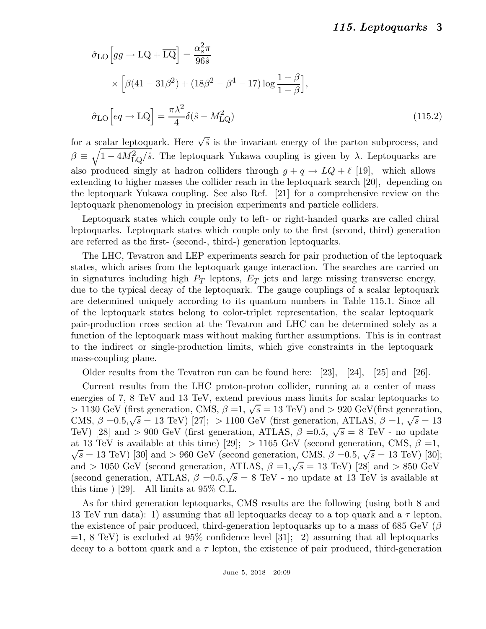### 115. Leptoquarks 3

$$
\hat{\sigma}_{LO} \left[ gg \to LQ + \overline{LQ} \right] = \frac{\alpha_s^2 \pi}{96 \hat{s}}
$$
  
 
$$
\times \left[ \beta (41 - 31\beta^2) + (18\beta^2 - \beta^4 - 17) \log \frac{1+\beta}{1-\beta} \right],
$$
  

$$
\hat{\sigma}_{LO} \left[ eq \to LQ \right] = \frac{\pi \lambda^2}{4} \delta(\hat{s} - M_{LQ}^2)
$$
 (115.2)

for a scalar leptoquark. Here  $\sqrt{\hat{s}}$  is the invariant energy of the parton subprocess, and  $\beta \equiv \sqrt{1-4M_{\rm LQ}^2/\hat{s}}$ . The leptoquark Yukawa coupling is given by  $\lambda$ . Leptoquarks are also produced singly at hadron colliders through  $g + q \rightarrow LQ + \ell$  [19], which allows extending to higher masses the collider reach in the leptoquark search [20], depending on the leptoquark Yukawa coupling. See also Ref. [21] for a comprehensive review on the leptoquark phenomenology in precision experiments and particle colliders.

Leptoquark states which couple only to left- or right-handed quarks are called chiral leptoquarks. Leptoquark states which couple only to the first (second, third) generation are referred as the first- (second-, third-) generation leptoquarks.

The LHC, Tevatron and LEP experiments search for pair production of the leptoquark states, which arises from the leptoquark gauge interaction. The searches are carried on in signatures including high  $P_T$  leptons,  $E_T$  jets and large missing transverse energy, due to the typical decay of the leptoquark. The gauge couplings of a scalar leptoquark are determined uniquely according to its quantum numbers in Table 115.1. Since all of the leptoquark states belong to color-triplet representation, the scalar leptoquark pair-production cross section at the Tevatron and LHC can be determined solely as a function of the leptoquark mass without making further assumptions. This is in contrast to the indirect or single-production limits, which give constraints in the leptoquark mass-coupling plane.

Older results from the Tevatron run can be found here:  $[23]$ ,  $[24]$ ,  $[25]$  and  $[26]$ .

Current results from the LHC proton-proton collider, running at a center of mass energies of 7, 8 TeV and 13 TeV, extend previous mass limits for scalar leptoquarks to  $> 1130$  GeV (first generation, CMS,  $\beta = 1, \sqrt{s} = 13$  TeV) and  $> 920$  GeV(first generation, CMS,  $\beta = 0.5, \sqrt{s} = 13$  TeV) [27]; > 1100 GeV (first generation, ATLAS,  $\beta = 1, \sqrt{s} = 13$ TeV) [28] and > 900 GeV (first generation, ATLAS,  $\beta = 0.5$ ,  $\sqrt{s} = 8$  TeV - no update at 13 TeV is available at this time) [29]; > 1165 GeV (second generation, CMS,  $\beta = 1$ ,  $\sqrt{s} = 13$  TeV) [30] and > 960 GeV (second generation, CMS,  $\beta = 0.5$ ,  $\sqrt{s} = 13$  TeV) [30]; and > 1050 GeV (second generation, ATLAS,  $\beta = 1, \sqrt{s} = 13$  TeV) [28] and > 850 GeV (second generation, ATLAS,  $\beta = 0.5, \sqrt{s} = 8$  TeV - no update at 13 TeV is available at this time  $\vert$  [29]. All limits at 95\% C.L.

As for third generation leptoquarks, CMS results are the following (using both 8 and 13 TeV run data): 1) assuming that all leptoquarks decay to a top quark and a  $\tau$  lepton, the existence of pair produced, third-generation leptoquarks up to a mass of 685 GeV ( $\beta$  $=1, 8$  TeV) is excluded at 95% confidence level [31]; 2) assuming that all leptoquarks decay to a bottom quark and a  $\tau$  lepton, the existence of pair produced, third-generation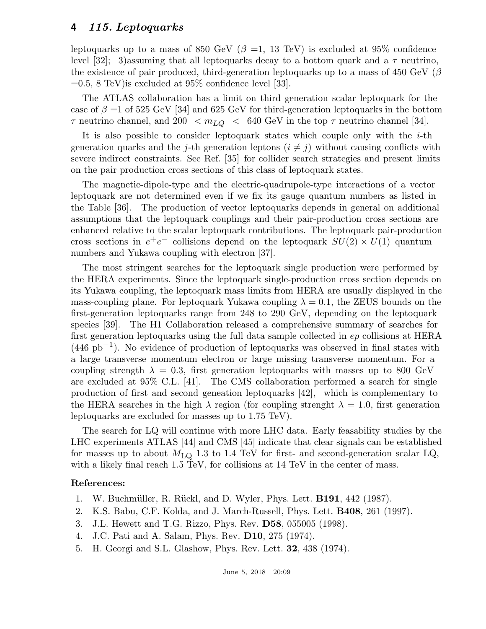### 4 115. Leptoquarks

leptoquarks up to a mass of 850 GeV ( $\beta$  =1, 13 TeV) is excluded at 95% confidence level [32]; 3) assuming that all leptoquarks decay to a bottom quark and a  $\tau$  neutrino, the existence of pair produced, third-generation leptoquarks up to a mass of 450 GeV ( $\beta$  $=0.5, 8$  TeV) is excluded at 95\% confidence level [33].

The ATLAS collaboration has a limit on third generation scalar leptoquark for the case of  $\beta = 1$  of 525 GeV [34] and 625 GeV for third-generation leptoquarks in the bottom  $\tau$  neutrino channel, and 200  $\lt m_{LQ} \lt 640$  GeV in the top  $\tau$  neutrino channel [34].

It is also possible to consider leptoquark states which couple only with the  $i$ -th generation quarks and the j-th generation leptons  $(i \neq j)$  without causing conflicts with severe indirect constraints. See Ref. [35] for collider search strategies and present limits on the pair production cross sections of this class of leptoquark states.

The magnetic-dipole-type and the electric-quadrupole-type interactions of a vector leptoquark are not determined even if we fix its gauge quantum numbers as listed in the Table [36]. The production of vector leptoquarks depends in general on additional assumptions that the leptoquark couplings and their pair-production cross sections are enhanced relative to the scalar leptoquark contributions. The leptoquark pair-production cross sections in  $e^+e^-$  collisions depend on the leptoquark  $SU(2) \times U(1)$  quantum numbers and Yukawa coupling with electron [37].

The most stringent searches for the leptoquark single production were performed by the HERA experiments. Since the leptoquark single-production cross section depends on its Yukawa coupling, the leptoquark mass limits from HERA are usually displayed in the mass-coupling plane. For leptoquark Yukawa coupling  $\lambda = 0.1$ , the ZEUS bounds on the first-generation leptoquarks range from 248 to 290 GeV, depending on the leptoquark species [39]. The H1 Collaboration released a comprehensive summary of searches for first generation leptoquarks using the full data sample collected in ep collisions at HERA (446 pb−<sup>1</sup> ). No evidence of production of leptoquarks was observed in final states with a large transverse momentum electron or large missing transverse momentum. For a coupling strength  $\lambda = 0.3$ , first generation leptoquarks with masses up to 800 GeV are excluded at 95% C.L. [41]. The CMS collaboration performed a search for single production of first and second geneation leptoquarks [42], which is complementary to the HERA searches in the high  $\lambda$  region (for coupling strenght  $\lambda = 1.0$ , first generation leptoquarks are excluded for masses up to 1.75 TeV).

The search for LQ will continue with more LHC data. Early feasability studies by the LHC experiments ATLAS [44] and CMS [45] indicate that clear signals can be established for masses up to about  $M_{\text{LQ}}$  1.3 to 1.4 TeV for first- and second-generation scalar LQ, with a likely final reach 1.5 TeV, for collisions at 14 TeV in the center of mass.

#### References:

- 1. W. Buchmüller, R. Rückl, and D. Wyler, Phys. Lett. **B191**, 442 (1987).
- 2. K.S. Babu, C.F. Kolda, and J. March-Russell, Phys. Lett. B408, 261 (1997).
- 3. J.L. Hewett and T.G. Rizzo, Phys. Rev. D58, 055005 (1998).
- 4. J.C. Pati and A. Salam, Phys. Rev. D10, 275 (1974).
- 5. H. Georgi and S.L. Glashow, Phys. Rev. Lett. 32, 438 (1974).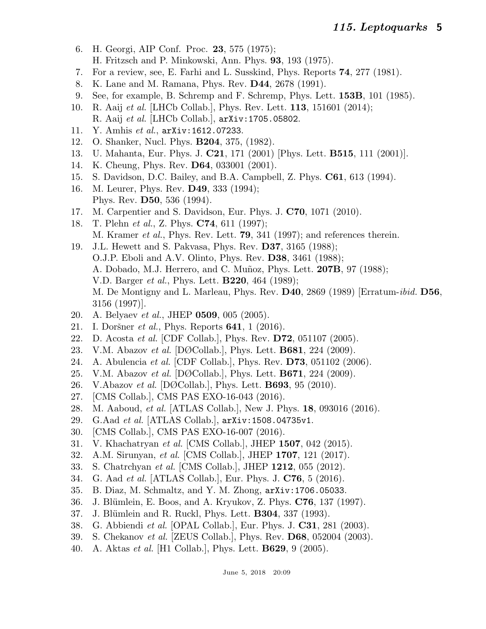- 6. H. Georgi, AIP Conf. Proc. 23, 575 (1975); H. Fritzsch and P. Minkowski, Ann. Phys. 93, 193 (1975).
- 7. For a review, see, E. Farhi and L. Susskind, Phys. Reports 74, 277 (1981).
- 8. K. Lane and M. Ramana, Phys. Rev. D44, 2678 (1991).
- 9. See, for example, B. Schremp and F. Schremp, Phys. Lett. 153B, 101 (1985).
- 10. R. Aaij *et al.* [LHCb Collab.], Phys. Rev. Lett. **113**, 151601 (2014); R. Aaij et al. [LHCb Collab.], arXiv:1705.05802.
- 11. Y. Amhis et al., arXiv:1612.07233.
- 12. O. Shanker, Nucl. Phys. B204, 375, (1982).
- 13. U. Mahanta, Eur. Phys. J. C21, 171 (2001) [Phys. Lett. B515, 111 (2001)].
- 14. K. Cheung, Phys. Rev. D64, 033001 (2001).
- 15. S. Davidson, D.C. Bailey, and B.A. Campbell, Z. Phys. C61, 613 (1994).
- 16. M. Leurer, Phys. Rev. D49, 333 (1994); Phys. Rev. D50, 536 (1994).
- 17. M. Carpentier and S. Davidson, Eur. Phys. J. C70, 1071 (2010).
- 18. T. Plehn et al., Z. Phys. C74, 611 (1997); M. Kramer *et al.*, Phys. Rev. Lett. **79**, 341 (1997); and references therein.
- 19. J.L. Hewett and S. Pakvasa, Phys. Rev. D37, 3165 (1988); O.J.P. Eboli and A.V. Olinto, Phys. Rev. D38, 3461 (1988); A. Dobado, M.J. Herrero, and C. Muñoz, Phys. Lett. 207B, 97 (1988); V.D. Barger et al., Phys. Lett. B220, 464 (1989); M. De Montigny and L. Marleau, Phys. Rev. D40, 2869 (1989) [Erratum-ibid. D56, 3156 (1997)].
- 20. A. Belyaev et al., JHEP 0509, 005 (2005).
- 21. I. Doršner *et al.*, Phys. Reports **641**, 1 (2016).
- 22. D. Acosta et al. [CDF Collab.], Phys. Rev. D72, 051107 (2005).
- 23. V.M. Abazov et al. [DØCollab.], Phys. Lett. B681, 224 (2009).
- 24. A. Abulencia et al. [CDF Collab.], Phys. Rev. D73, 051102 (2006).
- 25. V.M. Abazov et al. [DØCollab.], Phys. Lett. B671, 224 (2009).
- 26. V.Abazov et al. [DØCollab.], Phys. Lett. **B693**, 95 (2010).
- 27. [CMS Collab.], CMS PAS EXO-16-043 (2016).
- 28. M. Aaboud, *et al.* [ATLAS Collab.], New J. Phys. **18**, 093016 (2016).
- 29. G.Aad et al. [ATLAS Collab.], arXiv:1508.04735v1.
- 30. [CMS Collab.], CMS PAS EXO-16-007 (2016).
- 31. V. Khachatryan et al. [CMS Collab.], JHEP 1507, 042 (2015).
- 32. A.M. Sirunyan, et al. [CMS Collab.], JHEP 1707, 121 (2017).
- 33. S. Chatrchyan et al. [CMS Collab.], JHEP 1212, 055 (2012).
- 34. G. Aad *et al.* [ATLAS Collab.], Eur. Phys. J. **C76**, 5 (2016).
- 35. B. Diaz, M. Schmaltz, and Y. M. Zhong, arXiv:1706.05033.
- 36. J. Blümlein, E. Boos, and A. Kryukov, Z. Phys. **C76**, 137 (1997).
- 37. J. Blümlein and R. Ruckl, Phys. Lett. **B304**, 337 (1993).
- 38. G. Abbiendi et al. [OPAL Collab.], Eur. Phys. J. C31, 281 (2003).
- 39. S. Chekanov et al. [ZEUS Collab.], Phys. Rev. D68, 052004 (2003).
- 40. A. Aktas *et al.* [H1 Collab.], Phys. Lett. **B629**, 9 (2005).